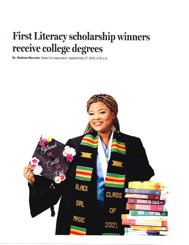## First Literacy scholarship winners receive college degrees

By Madison Mercado Globe Correspondent, Updated May 27, 2022, 8:52 p.m.

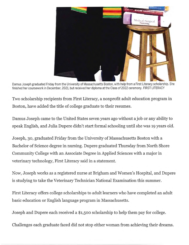

Damus Joseph graduated Friday from the University of Massachusetts Boston, with help from a First Literacy scholarship. She finished her coursework in December, 2021, but received her diploma at the Class of 2022 ceremony. FIRST LITERACY

Two scholarship recipients from First Literacy, a nonprofit adult education program in Boston, have added the title of college graduate to their resumes.

Damus Joseph came to the United States seven years ago without a job or any ability to speak English, and Julia Dupere didn't start formal schooling until she was 19 years old.

Joseph, 30, graduated Friday from the University of Massachusetts Boston with a Bachelor of Science degree in nursing. Dupere graduated Thursday from North Shore Community College with an Associate Degree in Applied Sciences with a major in veterinary technology, First Literacy said in a statement.

Now, Joseph works as a registered nurse at Brigham and Women's Hospital, and Dupere is studying to take the Veterinary Technician National Examination this summer.

First Literacy offers college scholarships to adult learners who have completed an adult basic education or English language program in Massachusetts.

Joseph and Dupere each received a \$1,500 scholarship to help them pay for college.

Challenges each graduate faced did not stop either woman from achieving their dreams.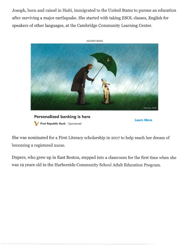Joseph, born and raised in Haiti, immigrated to the United States to pursue an education after surviving a major earthquake. She started with taking ESOL classes, English for speakers of other languages, at the Cambridge Community Learning Center.



Personalized banking is here First Republic Bank - Sponsored

Learn More

She was nominated for a First Literacy scholarship in 2017 to help reach her dream of becoming a registered nurse.

Dupere, who grew up in East Boston, stepped into a classroom for the first time when she was 19 years old in the Harborside Community School Adult Education Program.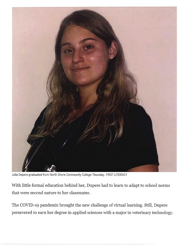

Julia Depere graduated from North Shore Community College Thursday. FIRST LITERACY

With little formal education behind her, Dupere had to learn to adapt to school norms that were second nature to her classmates.

The COVID-19 pandemic brought the new challenge of virtual learning. Still, Dupere persevered to earn her degree in applied sciences with a major in veterinary technology.